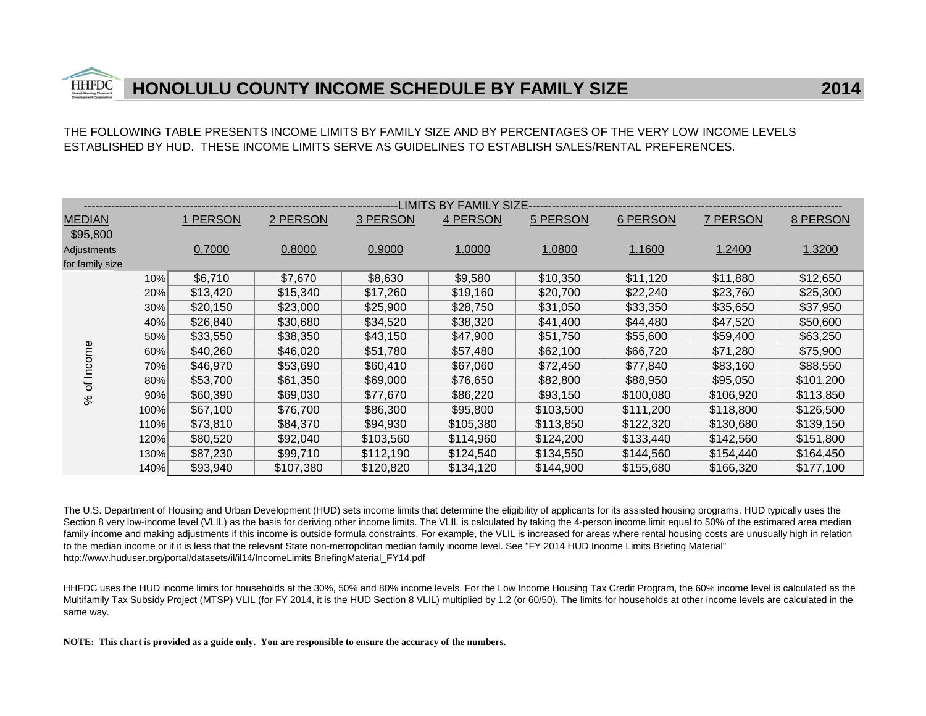THE FOLLOWING TABLE PRESENTS INCOME LIMITS BY FAMILY SIZE AND BY PERCENTAGES OF THE VERY LOW INCOME LEVELSESTABLISHED BY HUD. THESE INCOME LIMITS SERVE AS GUIDELINES TO ESTABLISH SALES/RENTAL PREFERENCES.

|                 |      |          |           |           | --LIMITS BY FAMILY SIZE------ |           |                 |           |           |
|-----------------|------|----------|-----------|-----------|-------------------------------|-----------|-----------------|-----------|-----------|
| <b>MEDIAN</b>   |      | 1 PERSON | 2 PERSON  | 3 PERSON  | 4 PERSON                      | 5 PERSON  | <b>6 PERSON</b> | 7 PERSON  | 8 PERSON  |
| \$95,800        |      |          |           |           |                               |           |                 |           |           |
| Adjustments     |      | 0.7000   | 0.8000    | 0.9000    | 1.0000                        | 1.0800    | 1.1600          | 1.2400    | 1.3200    |
| for family size |      |          |           |           |                               |           |                 |           |           |
|                 | 10%  | \$6.710  | \$7,670   | \$8,630   | \$9,580                       | \$10,350  | \$11,120        | \$11,880  | \$12,650  |
|                 | 20%  | \$13,420 | \$15,340  | \$17,260  | \$19,160                      | \$20,700  | \$22,240        | \$23,760  | \$25,300  |
|                 | 30%  | \$20,150 | \$23,000  | \$25,900  | \$28,750                      | \$31,050  | \$33,350        | \$35,650  | \$37,950  |
|                 | 40%  | \$26,840 | \$30,680  | \$34,520  | \$38,320                      | \$41,400  | \$44,480        | \$47,520  | \$50,600  |
|                 | 50%  | \$33,550 | \$38,350  | \$43,150  | \$47,900                      | \$51,750  | \$55,600        | \$59,400  | \$63,250  |
|                 | 60%  | \$40,260 | \$46,020  | \$51,780  | \$57,480                      | \$62,100  | \$66,720        | \$71,280  | \$75,900  |
| Income          | 70%  | \$46,970 | \$53,690  | \$60,410  | \$67,060                      | \$72,450  | \$77,840        | \$83,160  | \$88,550  |
| đ               | 80%  | \$53,700 | \$61,350  | \$69,000  | \$76,650                      | \$82,800  | \$88,950        | \$95,050  | \$101,200 |
| $\%$            | 90%  | \$60,390 | \$69,030  | \$77,670  | \$86,220                      | \$93,150  | \$100,080       | \$106,920 | \$113,850 |
|                 | 100% | \$67,100 | \$76,700  | \$86,300  | \$95,800                      | \$103,500 | \$111,200       | \$118,800 | \$126,500 |
|                 | 110% | \$73,810 | \$84,370  | \$94,930  | \$105,380                     | \$113,850 | \$122,320       | \$130,680 | \$139,150 |
|                 | 120% | \$80,520 | \$92,040  | \$103,560 | \$114,960                     | \$124,200 | \$133,440       | \$142,560 | \$151,800 |
|                 | 130% | \$87,230 | \$99,710  | \$112,190 | \$124,540                     | \$134,550 | \$144,560       | \$154,440 | \$164,450 |
|                 | 140% | \$93,940 | \$107,380 | \$120,820 | \$134,120                     | \$144,900 | \$155,680       | \$166,320 | \$177,100 |

The U.S. Department of Housing and Urban Development (HUD) sets income limits that determine the eligibility of applicants for its assisted housing programs. HUD typically uses the Section 8 very low-income level (VLIL) as the basis for deriving other income limits. The VLIL is calculated by taking the 4-person income limit equal to 50% of the estimated area median family income and making adjustments if this income is outside formula constraints. For example, the VLIL is increased for areas where rental housing costs are unusually high in relation to the median income or if it is less that the relevant State non-metropolitan median family income level. See "FY 2014 HUD Income Limits Briefing Material" http://www.huduser.org/portal/datasets/il/il14/IncomeLimits BriefingMaterial\_FY14.pdf

HHFDC uses the HUD income limits for households at the 30%, 50% and 80% income levels. For the Low Income Housing Tax Credit Program, the 60% income level is calculated as the Multifamily Tax Subsidy Project (MTSP) VLIL (for FY 2014, it is the HUD Section 8 VLIL) multiplied by 1.2 (or 60/50). The limits for households at other income levels are calculated in the same way.

**NOTE: This chart is provided as a guide only. You are responsible to ensure the accuracy of the numbers.**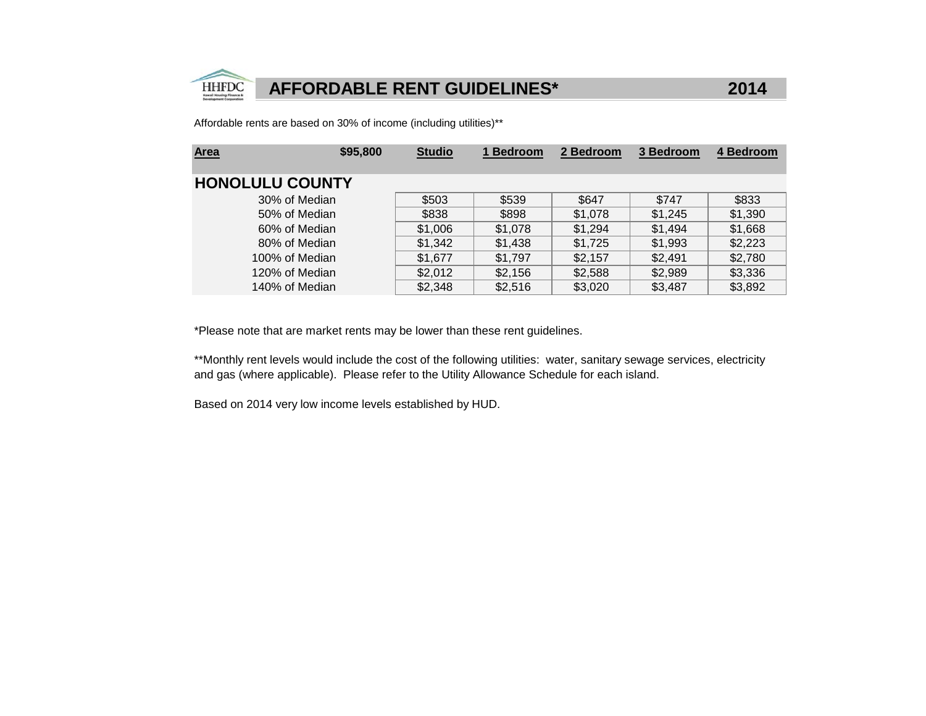

2014

Affordable rents are based on 30% of income (including utilities)\*\*

| \$95,800<br><b>Area</b> | <b>Studio</b> | 1 Bedroom | 2 Bedroom | 3 Bedroom | 4 Bedroom |
|-------------------------|---------------|-----------|-----------|-----------|-----------|
|                         |               |           |           |           |           |
| <b>HONOLULU COUNTY</b>  |               |           |           |           |           |
| 30% of Median           | \$503         | \$539     | \$647     | \$747     | \$833     |
| 50% of Median           | \$838         | \$898     | \$1,078   | \$1,245   | \$1,390   |
| 60% of Median           | \$1,006       | \$1,078   | \$1,294   | \$1,494   | \$1,668   |
| 80% of Median           | \$1,342       | \$1,438   | \$1,725   | \$1,993   | \$2,223   |
| 100% of Median          | \$1,677       | \$1,797   | \$2,157   | \$2,491   | \$2,780   |
| 120% of Median          | \$2,012       | \$2,156   | \$2,588   | \$2,989   | \$3,336   |
| 140% of Median          | \$2,348       | \$2,516   | \$3,020   | \$3,487   | \$3,892   |

\*Please note that are market rents may be lower than these rent guidelines.

\*\*Monthly rent levels would include the cost of the following utilities: water, sanitary sewage services, electricity and gas (where applicable). Please refer to the Utility Allowance Schedule for each island.

Based on 2014 very low income levels established by HUD.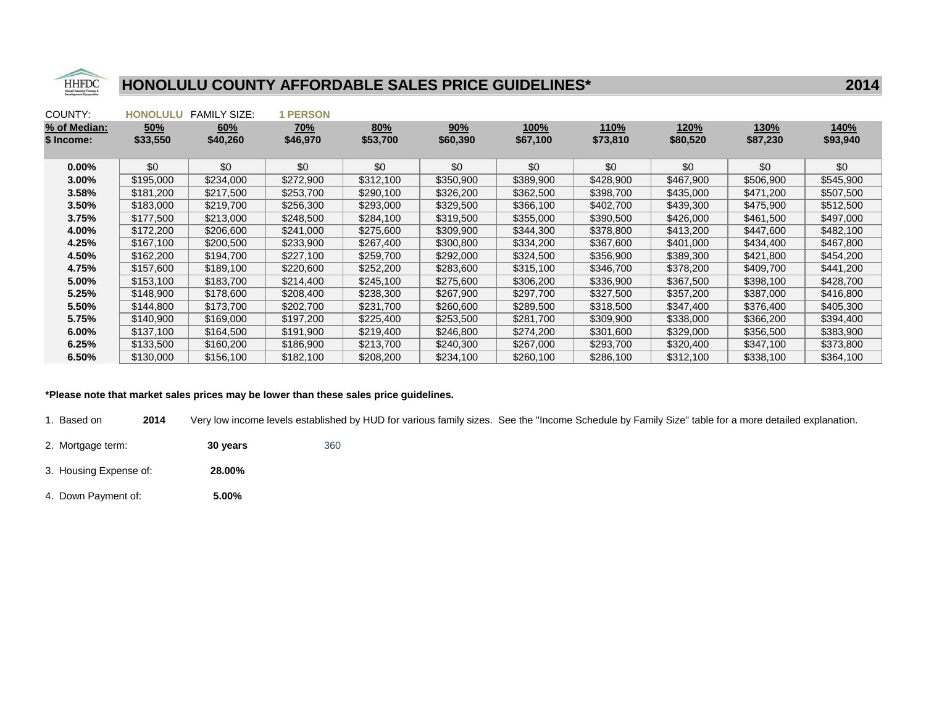

| COUNTY:      | <b>HONOLULU</b> | <b>FAMILY SIZE:</b> | <b>PERSON</b> |           |           |             |           |           |             |           |
|--------------|-----------------|---------------------|---------------|-----------|-----------|-------------|-----------|-----------|-------------|-----------|
| % of Median: | 50%             | 60%                 | <u>70%</u>    | 80%       | 90%       | <u>100%</u> | 110%      | 120%      | <u>130%</u> | 140%      |
| \$ Income:   | \$33,550        | \$40,260            | \$46,970      | \$53,700  | \$60,390  | \$67,100    | \$73,810  | \$80,520  | \$87,230    | \$93,940  |
|              |                 |                     |               |           |           |             |           |           |             |           |
| $0.00\%$     | \$0             | \$0                 | \$0           | \$0       | \$0       | \$0         | \$0       | \$0       | \$0         | \$0       |
| $3.00\%$     | \$195,000       | \$234,000           | \$272,900     | \$312,100 | \$350,900 | \$389,900   | \$428,900 | \$467,900 | \$506,900   | \$545,900 |
| 3.58%        | \$181,200       | \$217,500           | \$253,700     | \$290,100 | \$326,200 | \$362,500   | \$398,700 | \$435,000 | \$471,200   | \$507,500 |
| $3.50\%$     | \$183,000       | \$219,700           | \$256,300     | \$293,000 | \$329,500 | \$366,100   | \$402,700 | \$439,300 | \$475,900   | \$512,500 |
| 3.75%        | \$177.500       | \$213,000           | \$248,500     | \$284,100 | \$319,500 | \$355,000   | \$390,500 | \$426,000 | \$461,500   | \$497,000 |
| 4.00%        | \$172,200       | \$206,600           | \$241,000     | \$275,600 | \$309,900 | \$344,300   | \$378,800 | \$413,200 | \$447,600   | \$482,100 |
| 4.25%        | \$167,100       | \$200,500           | \$233,900     | \$267,400 | \$300,800 | \$334,200   | \$367,600 | \$401,000 | \$434,400   | \$467,800 |
| 4.50%        | \$162,200       | \$194,700           | \$227,100     | \$259,700 | \$292,000 | \$324,500   | \$356,900 | \$389,300 | \$421,800   | \$454,200 |
| 4.75%        | \$157,600       | \$189,100           | \$220,600     | \$252,200 | \$283,600 | \$315,100   | \$346,700 | \$378,200 | \$409,700   | \$441,200 |
| 5.00%        | \$153,100       | \$183,700           | \$214,400     | \$245,100 | \$275,600 | \$306,200   | \$336,900 | \$367,500 | \$398,100   | \$428,700 |
| 5.25%        | \$148,900       | \$178,600           | \$208,400     | \$238,300 | \$267,900 | \$297,700   | \$327,500 | \$357,200 | \$387,000   | \$416,800 |
| 5.50%        | \$144,800       | \$173,700           | \$202,700     | \$231,700 | \$260,600 | \$289,500   | \$318,500 | \$347,400 | \$376,400   | \$405,300 |
| 5.75%        | \$140,900       | \$169,000           | \$197,200     | \$225,400 | \$253,500 | \$281,700   | \$309,900 | \$338,000 | \$366,200   | \$394,400 |
| $6.00\%$     | \$137,100       | \$164,500           | \$191,900     | \$219,400 | \$246,800 | \$274,200   | \$301,600 | \$329,000 | \$356,500   | \$383,900 |
| 6.25%        | \$133,500       | \$160,200           | \$186,900     | \$213,700 | \$240,300 | \$267,000   | \$293,700 | \$320,400 | \$347,100   | \$373,800 |
| 6.50%        | \$130,000       | \$156,100           | \$182,100     | \$208,200 | \$234,100 | \$260,100   | \$286,100 | \$312,100 | \$338,100   | \$364,100 |

#### \*Please note that market sales prices may be lower than these sales price guidelines.

1. Based on**2014** Very low income levels established by HUD for various family sizes. See the "Income Schedule by Family Size" table for a more detailed explanation.

- 2. Mortgage term: **30 years** 360
- 3. Housing Expense of: **28.00%**
- 4. Down Payment of: **5.00%**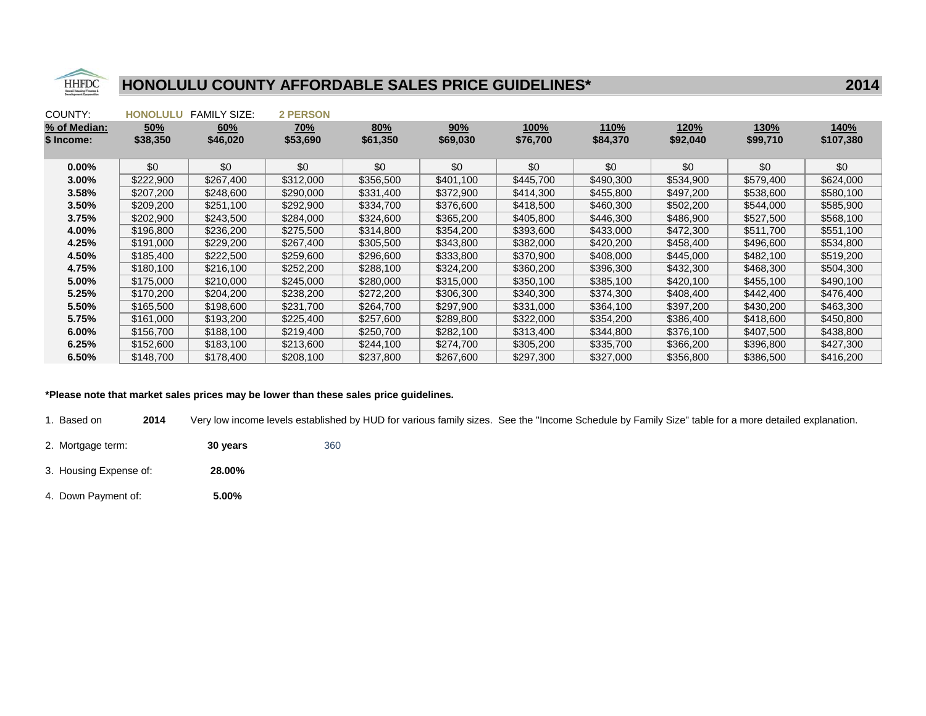

| COUNTY:      | <b>HONOLULU</b> | <b>FAMILY SIZE:</b> | <b>2 PERSON</b> |           |           |             |           |           |             |             |
|--------------|-----------------|---------------------|-----------------|-----------|-----------|-------------|-----------|-----------|-------------|-------------|
| % of Median: | 50%             | 60%                 | <u>70%</u>      | 80%       | 90%       | <u>100%</u> | 110%      | 120%      | <u>130%</u> | <u>140%</u> |
| \$ Income:   | \$38,350        | \$46,020            | \$53,690        | \$61,350  | \$69,030  | \$76,700    | \$84,370  | \$92,040  | \$99,710    | \$107,380   |
|              |                 |                     |                 |           |           |             |           |           |             |             |
| $0.00\%$     | \$0             | \$0                 | \$0             | \$0       | \$0       | \$0         | \$0       | \$0       | \$0         | \$0         |
| 3.00%        | \$222,900       | \$267,400           | \$312,000       | \$356,500 | \$401.100 | \$445,700   | \$490,300 | \$534,900 | \$579,400   | \$624,000   |
| 3.58%        | \$207,200       | \$248,600           | \$290,000       | \$331,400 | \$372,900 | \$414,300   | \$455,800 | \$497,200 | \$538,600   | \$580,100   |
| $3.50\%$     | \$209,200       | \$251,100           | \$292,900       | \$334,700 | \$376,600 | \$418,500   | \$460,300 | \$502,200 | \$544,000   | \$585,900   |
| 3.75%        | \$202.900       | \$243,500           | \$284,000       | \$324,600 | \$365.200 | \$405,800   | \$446.300 | \$486,900 | \$527,500   | \$568,100   |
| 4.00%        | \$196,800       | \$236,200           | \$275,500       | \$314,800 | \$354,200 | \$393,600   | \$433,000 | \$472,300 | \$511,700   | \$551,100   |
| 4.25%        | \$191,000       | \$229,200           | \$267,400       | \$305,500 | \$343,800 | \$382,000   | \$420,200 | \$458,400 | \$496,600   | \$534,800   |
| 4.50%        | \$185,400       | \$222,500           | \$259,600       | \$296,600 | \$333,800 | \$370,900   | \$408,000 | \$445,000 | \$482,100   | \$519,200   |
| 4.75%        | \$180,100       | \$216,100           | \$252,200       | \$288,100 | \$324,200 | \$360,200   | \$396,300 | \$432,300 | \$468,300   | \$504,300   |
| 5.00%        | \$175,000       | \$210,000           | \$245,000       | \$280,000 | \$315,000 | \$350,100   | \$385,100 | \$420,100 | \$455,100   | \$490,100   |
| 5.25%        | \$170,200       | \$204,200           | \$238,200       | \$272,200 | \$306,300 | \$340,300   | \$374,300 | \$408,400 | \$442,400   | \$476,400   |
| 5.50%        | \$165,500       | \$198,600           | \$231,700       | \$264,700 | \$297,900 | \$331,000   | \$364,100 | \$397,200 | \$430,200   | \$463,300   |
| 5.75%        | \$161,000       | \$193,200           | \$225,400       | \$257,600 | \$289,800 | \$322,000   | \$354,200 | \$386,400 | \$418,600   | \$450,800   |
| $6.00\%$     | \$156,700       | \$188,100           | \$219,400       | \$250,700 | \$282,100 | \$313,400   | \$344,800 | \$376,100 | \$407,500   | \$438,800   |
| 6.25%        | \$152,600       | \$183,100           | \$213,600       | \$244,100 | \$274,700 | \$305,200   | \$335,700 | \$366,200 | \$396,800   | \$427,300   |
| 6.50%        | \$148,700       | \$178,400           | \$208,100       | \$237,800 | \$267,600 | \$297,300   | \$327,000 | \$356,800 | \$386,500   | \$416,200   |

#### \*Please note that market sales prices may be lower than these sales price guidelines.

1. Based on**2014** Very low income levels established by HUD for various family sizes. See the "Income Schedule by Family Size" table for a more detailed explanation.

- 2. Mortgage term: **30 years** 360
- 3. Housing Expense of: **28.00%**
- 4. Down Payment of: **5.00%**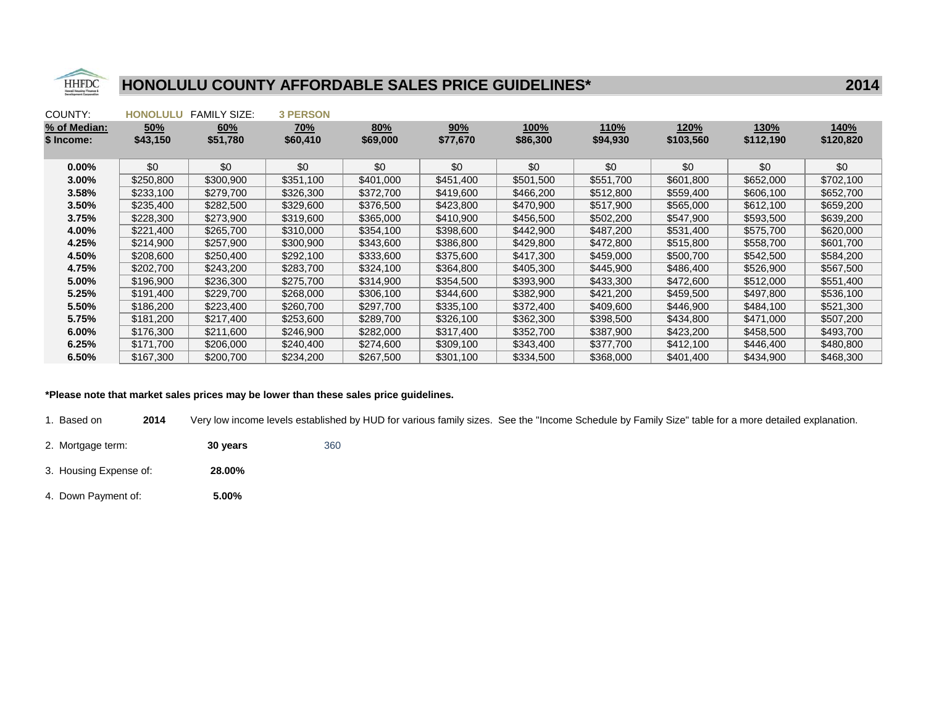

| COUNTY:      | <b>HONOLULU</b> | <b>FAMILY SIZE:</b> | <b>3 PERSON</b> |           |           |             |           |             |           |             |
|--------------|-----------------|---------------------|-----------------|-----------|-----------|-------------|-----------|-------------|-----------|-------------|
| % of Median: | 50%             | 60%                 | <u>70%</u>      | 80%       | 90%       | <u>100%</u> | 110%      | <u>120%</u> | 130%      | <b>140%</b> |
| \$ Income:   | \$43,150        | \$51,780            | \$60,410        | \$69,000  | \$77,670  | \$86,300    | \$94,930  | \$103,560   | \$112,190 | \$120,820   |
|              |                 |                     |                 |           |           |             |           |             |           |             |
| $0.00\%$     | \$0             | \$0                 | \$0             | \$0       | \$0       | \$0         | \$0       | \$0         | \$0       | \$0         |
| $3.00\%$     | \$250,800       | \$300,900           | \$351,100       | \$401,000 | \$451,400 | \$501,500   | \$551,700 | \$601,800   | \$652,000 | \$702,100   |
| 3.58%        | \$233,100       | \$279,700           | \$326,300       | \$372,700 | \$419,600 | \$466,200   | \$512,800 | \$559,400   | \$606,100 | \$652,700   |
| $3.50\%$     | \$235,400       | \$282,500           | \$329,600       | \$376,500 | \$423,800 | \$470,900   | \$517,900 | \$565,000   | \$612,100 | \$659,200   |
| 3.75%        | \$228.300       | \$273,900           | \$319,600       | \$365,000 | \$410.900 | \$456,500   | \$502,200 | \$547.900   | \$593,500 | \$639,200   |
| 4.00%        | \$221,400       | \$265,700           | \$310,000       | \$354,100 | \$398,600 | \$442,900   | \$487,200 | \$531,400   | \$575,700 | \$620,000   |
| 4.25%        | \$214,900       | \$257,900           | \$300,900       | \$343,600 | \$386,800 | \$429,800   | \$472,800 | \$515,800   | \$558,700 | \$601,700   |
| 4.50%        | \$208,600       | \$250,400           | \$292,100       | \$333,600 | \$375,600 | \$417,300   | \$459,000 | \$500,700   | \$542,500 | \$584,200   |
| 4.75%        | \$202,700       | \$243,200           | \$283,700       | \$324,100 | \$364,800 | \$405,300   | \$445,900 | \$486,400   | \$526,900 | \$567,500   |
| 5.00%        | \$196,900       | \$236,300           | \$275,700       | \$314,900 | \$354,500 | \$393,900   | \$433,300 | \$472,600   | \$512,000 | \$551,400   |
| 5.25%        | \$191,400       | \$229,700           | \$268,000       | \$306,100 | \$344,600 | \$382,900   | \$421,200 | \$459,500   | \$497,800 | \$536,100   |
| 5.50%        | \$186,200       | \$223,400           | \$260,700       | \$297,700 | \$335,100 | \$372,400   | \$409,600 | \$446,900   | \$484,100 | \$521,300   |
| 5.75%        | \$181,200       | \$217,400           | \$253,600       | \$289,700 | \$326,100 | \$362,300   | \$398,500 | \$434,800   | \$471,000 | \$507,200   |
| $6.00\%$     | \$176,300       | \$211,600           | \$246,900       | \$282,000 | \$317,400 | \$352,700   | \$387,900 | \$423,200   | \$458,500 | \$493,700   |
| 6.25%        | \$171,700       | \$206,000           | \$240,400       | \$274,600 | \$309,100 | \$343,400   | \$377,700 | \$412,100   | \$446,400 | \$480,800   |
| 6.50%        | \$167,300       | \$200,700           | \$234,200       | \$267,500 | \$301,100 | \$334,500   | \$368,000 | \$401,400   | \$434,900 | \$468,300   |

#### \*Please note that market sales prices may be lower than these sales price guidelines.

1. Based on**2014** Very low income levels established by HUD for various family sizes. See the "Income Schedule by Family Size" table for a more detailed explanation.

- 2. Mortgage term: **30 years** 360
- 3. Housing Expense of: **28.00%**
- 4. Down Payment of: **5.00%**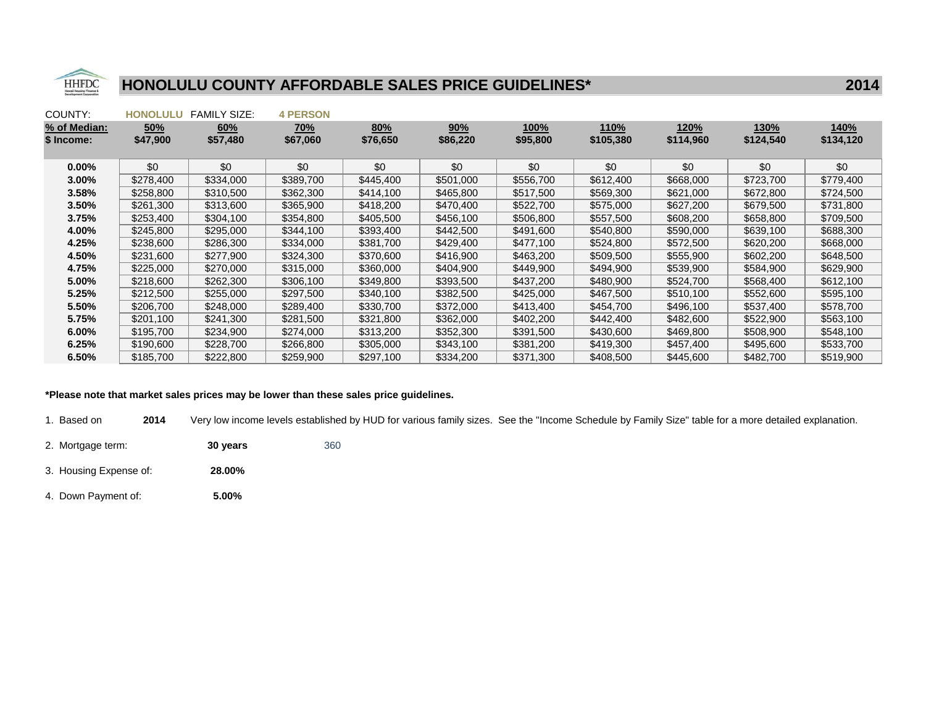

| COUNTY:      | <b>HONOLULU</b> | <b>FAMILY SIZE:</b> | <b>4 PERSON</b> |           |           |           |           |           |             |           |
|--------------|-----------------|---------------------|-----------------|-----------|-----------|-----------|-----------|-----------|-------------|-----------|
| % of Median: | 50%             | 60%                 | <u>70%</u>      | 80%       | 90%       | 100%      | 110%      | 120%      | <b>130%</b> | 140%      |
| \$ Income:   | \$47,900        | \$57,480            | \$67,060        | \$76,650  | \$86,220  | \$95,800  | \$105,380 | \$114,960 | \$124,540   | \$134,120 |
|              |                 |                     |                 |           |           |           |           |           |             |           |
| $0.00\%$     | \$0             | \$0                 | \$0             | \$0       | \$0       | \$0       | \$0       | \$0       | \$0         | \$0       |
| $3.00\%$     | \$278,400       | \$334,000           | \$389,700       | \$445,400 | \$501,000 | \$556,700 | \$612,400 | \$668,000 | \$723,700   | \$779,400 |
| 3.58%        | \$258,800       | \$310,500           | \$362,300       | \$414,100 | \$465,800 | \$517,500 | \$569,300 | \$621,000 | \$672,800   | \$724,500 |
| 3.50%        | \$261,300       | \$313,600           | \$365,900       | \$418,200 | \$470,400 | \$522,700 | \$575,000 | \$627,200 | \$679,500   | \$731,800 |
| 3.75%        | \$253,400       | \$304,100           | \$354,800       | \$405,500 | \$456,100 | \$506,800 | \$557.500 | \$608,200 | \$658,800   | \$709.500 |
| 4.00%        | \$245,800       | \$295,000           | \$344,100       | \$393,400 | \$442,500 | \$491,600 | \$540,800 | \$590,000 | \$639,100   | \$688,300 |
| 4.25%        | \$238,600       | \$286,300           | \$334,000       | \$381,700 | \$429,400 | \$477,100 | \$524,800 | \$572,500 | \$620,200   | \$668,000 |
| 4.50%        | \$231,600       | \$277,900           | \$324,300       | \$370,600 | \$416,900 | \$463,200 | \$509,500 | \$555,900 | \$602,200   | \$648,500 |
| 4.75%        | \$225,000       | \$270,000           | \$315,000       | \$360,000 | \$404,900 | \$449,900 | \$494,900 | \$539,900 | \$584,900   | \$629,900 |
| 5.00%        | \$218,600       | \$262,300           | \$306,100       | \$349,800 | \$393,500 | \$437,200 | \$480,900 | \$524,700 | \$568,400   | \$612,100 |
| 5.25%        | \$212,500       | \$255,000           | \$297,500       | \$340,100 | \$382,500 | \$425,000 | \$467,500 | \$510,100 | \$552,600   | \$595,100 |
| 5.50%        | \$206,700       | \$248,000           | \$289,400       | \$330,700 | \$372,000 | \$413,400 | \$454,700 | \$496,100 | \$537,400   | \$578,700 |
| 5.75%        | \$201,100       | \$241,300           | \$281,500       | \$321,800 | \$362,000 | \$402,200 | \$442,400 | \$482,600 | \$522,900   | \$563,100 |
| $6.00\%$     | \$195,700       | \$234,900           | \$274,000       | \$313,200 | \$352,300 | \$391,500 | \$430,600 | \$469,800 | \$508,900   | \$548,100 |
| 6.25%        | \$190,600       | \$228,700           | \$266,800       | \$305,000 | \$343,100 | \$381,200 | \$419,300 | \$457,400 | \$495,600   | \$533,700 |
| 6.50%        | \$185,700       | \$222,800           | \$259,900       | \$297,100 | \$334,200 | \$371,300 | \$408,500 | \$445,600 | \$482,700   | \$519,900 |

#### \*Please note that market sales prices may be lower than these sales price guidelines.

1. Based on**2014** Very low income levels established by HUD for various family sizes. See the "Income Schedule by Family Size" table for a more detailed explanation.

- 2. Mortgage term: **30 years** 360
- 3. Housing Expense of: **28.00%**
- 4. Down Payment of: **5.00%**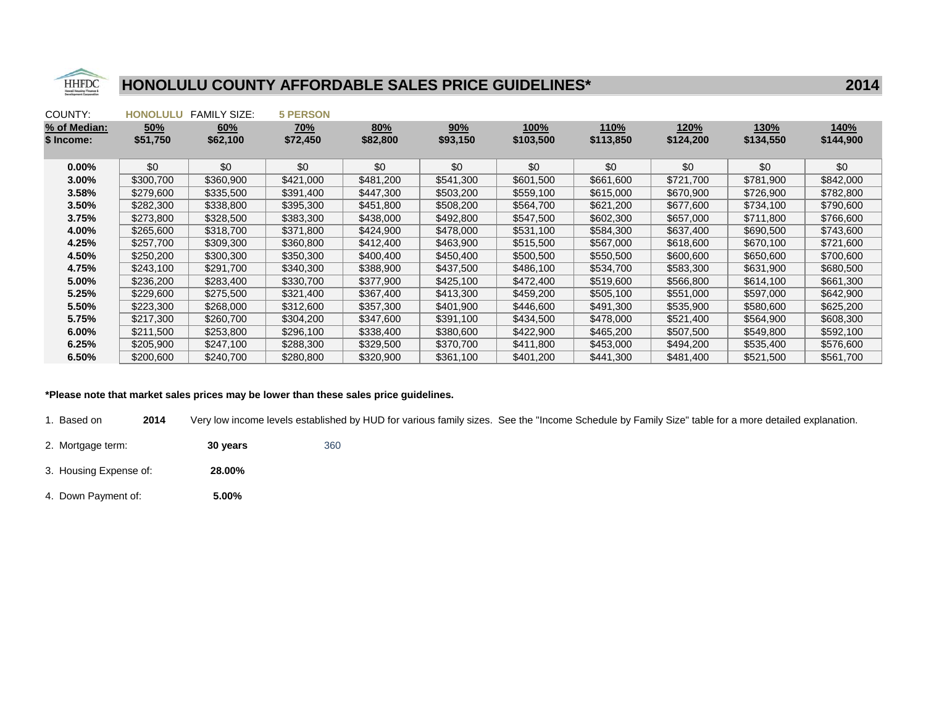

| COUNTY:      | <b>HONOLULU</b> | <b>FAMILY SIZE:</b> | <b>5 PERSON</b> |           |           |             |           |               |           |           |
|--------------|-----------------|---------------------|-----------------|-----------|-----------|-------------|-----------|---------------|-----------|-----------|
| % of Median: | 50%             | 60%                 | <u>70%</u>      | 80%       | 90%       | <u>100%</u> | 110%      | <u> 120% </u> | 130%      | 140%      |
| \$ Income:   | \$51,750        | \$62,100            | \$72,450        | \$82,800  | \$93,150  | \$103,500   | \$113,850 | \$124,200     | \$134,550 | \$144,900 |
|              |                 |                     |                 |           |           |             |           |               |           |           |
| $0.00\%$     | \$0             | \$0                 | \$0             | \$0       | \$0       | \$0         | \$0       | \$0           | \$0       | \$0       |
| $3.00\%$     | \$300.700       | \$360,900           | \$421,000       | \$481,200 | \$541,300 | \$601,500   | \$661,600 | \$721,700     | \$781,900 | \$842,000 |
| 3.58%        | \$279,600       | \$335,500           | \$391,400       | \$447,300 | \$503,200 | \$559,100   | \$615,000 | \$670,900     | \$726,900 | \$782,800 |
| $3.50\%$     | \$282,300       | \$338,800           | \$395,300       | \$451,800 | \$508,200 | \$564,700   | \$621,200 | \$677,600     | \$734,100 | \$790,600 |
| 3.75%        | \$273,800       | \$328,500           | \$383,300       | \$438,000 | \$492,800 | \$547,500   | \$602,300 | \$657,000     | \$711.800 | \$766,600 |
| 4.00%        | \$265,600       | \$318,700           | \$371,800       | \$424,900 | \$478,000 | \$531,100   | \$584,300 | \$637,400     | \$690,500 | \$743,600 |
| 4.25%        | \$257,700       | \$309,300           | \$360,800       | \$412,400 | \$463,900 | \$515,500   | \$567,000 | \$618,600     | \$670,100 | \$721,600 |
| 4.50%        | \$250,200       | \$300,300           | \$350,300       | \$400,400 | \$450,400 | \$500,500   | \$550,500 | \$600,600     | \$650,600 | \$700,600 |
| 4.75%        | \$243,100       | \$291,700           | \$340,300       | \$388,900 | \$437,500 | \$486,100   | \$534,700 | \$583,300     | \$631,900 | \$680,500 |
| 5.00%        | \$236,200       | \$283,400           | \$330,700       | \$377,900 | \$425,100 | \$472,400   | \$519,600 | \$566,800     | \$614,100 | \$661,300 |
| 5.25%        | \$229,600       | \$275,500           | \$321,400       | \$367,400 | \$413,300 | \$459,200   | \$505,100 | \$551,000     | \$597,000 | \$642,900 |
| 5.50%        | \$223,300       | \$268,000           | \$312,600       | \$357,300 | \$401.900 | \$446,600   | \$491,300 | \$535,900     | \$580,600 | \$625,200 |
| 5.75%        | \$217,300       | \$260,700           | \$304,200       | \$347,600 | \$391,100 | \$434,500   | \$478,000 | \$521,400     | \$564,900 | \$608,300 |
| $6.00\%$     | \$211,500       | \$253,800           | \$296,100       | \$338,400 | \$380,600 | \$422,900   | \$465,200 | \$507,500     | \$549,800 | \$592,100 |
| 6.25%        | \$205,900       | \$247,100           | \$288,300       | \$329,500 | \$370,700 | \$411,800   | \$453,000 | \$494,200     | \$535,400 | \$576,600 |
| 6.50%        | \$200,600       | \$240,700           | \$280,800       | \$320,900 | \$361,100 | \$401,200   | \$441,300 | \$481,400     | \$521,500 | \$561,700 |

#### \*Please note that market sales prices may be lower than these sales price guidelines.

1. Based on**2014** Very low income levels established by HUD for various family sizes. See the "Income Schedule by Family Size" table for a more detailed explanation.

- 2. Mortgage term: **30 years** 360
- 3. Housing Expense of: **28.00%**
- 4. Down Payment of: **5.00%**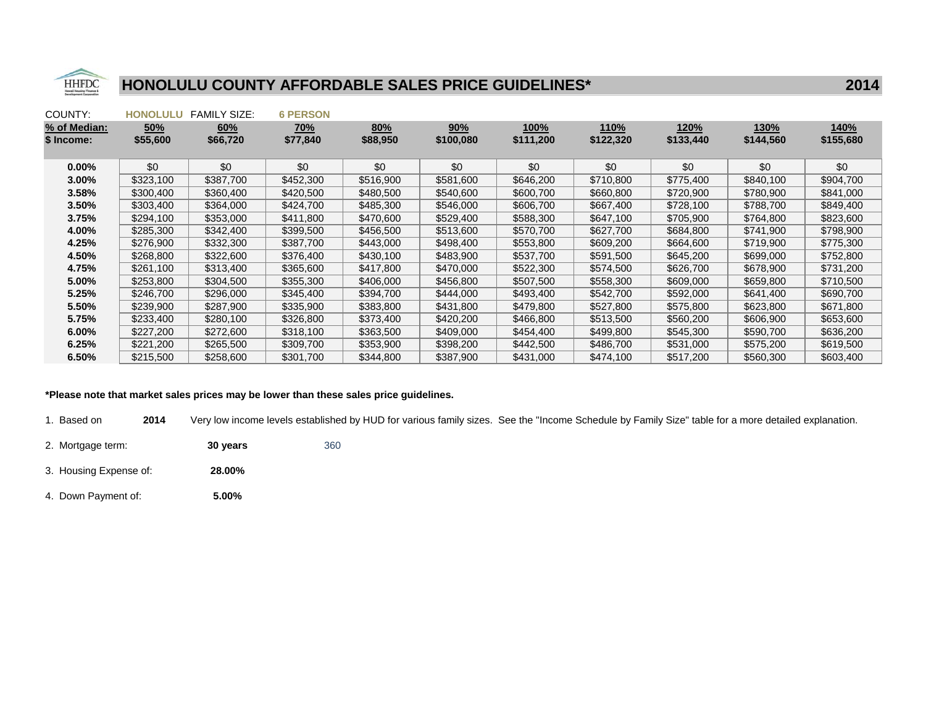

| COUNTY:      | <b>HONOLULU</b> | <b>FAMILY SIZE:</b> | <b>6 PERSON</b> |           |           |           |           |           |           |           |
|--------------|-----------------|---------------------|-----------------|-----------|-----------|-----------|-----------|-----------|-----------|-----------|
| % of Median: | 50%             | 60%                 | <u>70%</u>      | 80%       | 90%       | 100%      | 110%      | 120%      | 130%      | 140%      |
| \$ Income:   | \$55,600        | \$66,720            | \$77,840        | \$88,950  | \$100,080 | \$111,200 | \$122,320 | \$133,440 | \$144,560 | \$155,680 |
|              |                 |                     |                 |           |           |           |           |           |           |           |
| $0.00\%$     | \$0             | \$0                 | \$0             | \$0       | \$0       | \$0       | \$0       | \$0       | \$0       | \$0       |
| $3.00\%$     | \$323,100       | \$387.700           | \$452,300       | \$516,900 | \$581,600 | \$646,200 | \$710,800 | \$775,400 | \$840,100 | \$904,700 |
| 3.58%        | \$300,400       | \$360,400           | \$420,500       | \$480,500 | \$540,600 | \$600,700 | \$660,800 | \$720,900 | \$780,900 | \$841,000 |
| $3.50\%$     | \$303,400       | \$364,000           | \$424,700       | \$485,300 | \$546,000 | \$606,700 | \$667,400 | \$728,100 | \$788,700 | \$849,400 |
| 3.75%        | \$294,100       | \$353,000           | \$411.800       | \$470,600 | \$529,400 | \$588,300 | \$647,100 | \$705,900 | \$764.800 | \$823,600 |
| 4.00%        | \$285,300       | \$342,400           | \$399,500       | \$456,500 | \$513,600 | \$570,700 | \$627,700 | \$684,800 | \$741,900 | \$798,900 |
| 4.25%        | \$276,900       | \$332,300           | \$387,700       | \$443,000 | \$498,400 | \$553,800 | \$609,200 | \$664,600 | \$719,900 | \$775,300 |
| 4.50%        | \$268,800       | \$322,600           | \$376,400       | \$430,100 | \$483,900 | \$537,700 | \$591,500 | \$645,200 | \$699,000 | \$752,800 |
| 4.75%        | \$261,100       | \$313,400           | \$365,600       | \$417,800 | \$470,000 | \$522,300 | \$574,500 | \$626,700 | \$678,900 | \$731,200 |
| 5.00%        | \$253,800       | \$304,500           | \$355,300       | \$406,000 | \$456,800 | \$507,500 | \$558,300 | \$609,000 | \$659,800 | \$710,500 |
| 5.25%        | \$246,700       | \$296,000           | \$345,400       | \$394,700 | \$444,000 | \$493,400 | \$542,700 | \$592,000 | \$641,400 | \$690,700 |
| 5.50%        | \$239,900       | \$287,900           | \$335,900       | \$383,800 | \$431,800 | \$479,800 | \$527,800 | \$575,800 | \$623,800 | \$671,800 |
| 5.75%        | \$233,400       | \$280,100           | \$326,800       | \$373,400 | \$420,200 | \$466,800 | \$513,500 | \$560,200 | \$606,900 | \$653,600 |
| $6.00\%$     | \$227,200       | \$272,600           | \$318,100       | \$363,500 | \$409,000 | \$454,400 | \$499,800 | \$545,300 | \$590,700 | \$636,200 |
| 6.25%        | \$221,200       | \$265,500           | \$309,700       | \$353,900 | \$398,200 | \$442,500 | \$486,700 | \$531,000 | \$575,200 | \$619,500 |
| 6.50%        | \$215,500       | \$258,600           | \$301,700       | \$344,800 | \$387,900 | \$431,000 | \$474,100 | \$517,200 | \$560,300 | \$603,400 |

### \*Please note that market sales prices may be lower than these sales price guidelines.

1. Based on**2014** Very low income levels established by HUD for various family sizes. See the "Income Schedule by Family Size" table for a more detailed explanation.

- 2. Mortgage term: **30 years** 360
- 3. Housing Expense of: **28.00%**
- 4. Down Payment of: **5.00%**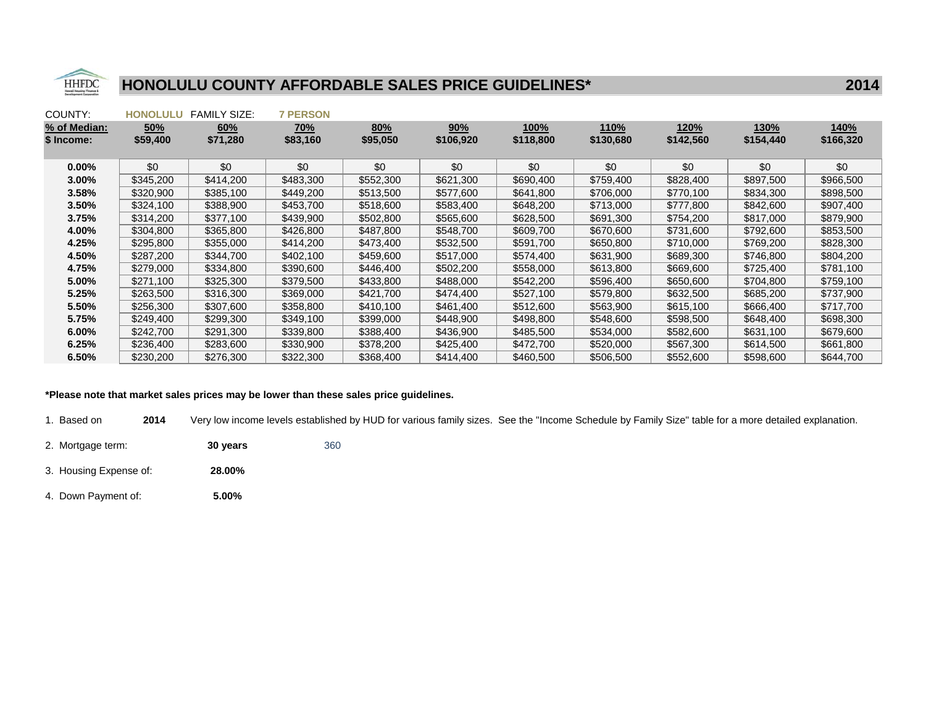

| COUNTY:      | <b>HONOLULU</b> | <b>FAMILY SIZE:</b> | <b>7 PERSON</b> |           |           |           |           |           |             |           |
|--------------|-----------------|---------------------|-----------------|-----------|-----------|-----------|-----------|-----------|-------------|-----------|
| % of Median: | 50%             | 60%                 | <u>70%</u>      | 80%       | 90%       | 100%      | 110%      | 120%      | <u>130%</u> | 140%      |
| \$ Income:   | \$59,400        | \$71,280            | \$83,160        | \$95,050  | \$106,920 | \$118,800 | \$130,680 | \$142,560 | \$154,440   | \$166,320 |
|              |                 |                     |                 |           |           |           |           |           |             |           |
| $0.00\%$     | \$0             | \$0                 | \$0             | \$0       | \$0       | \$0       | \$0       | \$0       | \$0         | \$0       |
| $3.00\%$     | \$345,200       | \$414,200           | \$483,300       | \$552,300 | \$621,300 | \$690,400 | \$759,400 | \$828,400 | \$897,500   | \$966,500 |
| 3.58%        | \$320,900       | \$385,100           | \$449,200       | \$513,500 | \$577,600 | \$641,800 | \$706,000 | \$770,100 | \$834,300   | \$898,500 |
| 3.50%        | \$324,100       | \$388,900           | \$453,700       | \$518,600 | \$583,400 | \$648,200 | \$713,000 | \$777,800 | \$842,600   | \$907,400 |
| 3.75%        | \$314.200       | \$377.100           | \$439,900       | \$502,800 | \$565,600 | \$628,500 | \$691,300 | \$754.200 | \$817,000   | \$879.900 |
| 4.00%        | \$304,800       | \$365,800           | \$426,800       | \$487,800 | \$548,700 | \$609,700 | \$670,600 | \$731,600 | \$792,600   | \$853,500 |
| 4.25%        | \$295,800       | \$355,000           | \$414,200       | \$473,400 | \$532,500 | \$591,700 | \$650,800 | \$710,000 | \$769,200   | \$828,300 |
| 4.50%        | \$287,200       | \$344,700           | \$402,100       | \$459,600 | \$517,000 | \$574,400 | \$631,900 | \$689,300 | \$746,800   | \$804,200 |
| 4.75%        | \$279,000       | \$334,800           | \$390,600       | \$446,400 | \$502,200 | \$558,000 | \$613,800 | \$669,600 | \$725,400   | \$781,100 |
| 5.00%        | \$271,100       | \$325,300           | \$379,500       | \$433,800 | \$488,000 | \$542,200 | \$596,400 | \$650,600 | \$704,800   | \$759,100 |
| 5.25%        | \$263,500       | \$316,300           | \$369,000       | \$421,700 | \$474,400 | \$527,100 | \$579,800 | \$632,500 | \$685,200   | \$737,900 |
| 5.50%        | \$256,300       | \$307,600           | \$358,800       | \$410,100 | \$461,400 | \$512,600 | \$563,900 | \$615,100 | \$666,400   | \$717.700 |
| 5.75%        | \$249,400       | \$299,300           | \$349,100       | \$399,000 | \$448,900 | \$498,800 | \$548,600 | \$598,500 | \$648,400   | \$698,300 |
| $6.00\%$     | \$242,700       | \$291,300           | \$339,800       | \$388,400 | \$436,900 | \$485,500 | \$534,000 | \$582,600 | \$631,100   | \$679,600 |
| 6.25%        | \$236,400       | \$283,600           | \$330,900       | \$378,200 | \$425,400 | \$472,700 | \$520,000 | \$567,300 | \$614,500   | \$661,800 |
| 6.50%        | \$230,200       | \$276,300           | \$322,300       | \$368,400 | \$414,400 | \$460,500 | \$506,500 | \$552,600 | \$598,600   | \$644,700 |

### \*Please note that market sales prices may be lower than these sales price guidelines.

1. Based on**2014** Very low income levels established by HUD for various family sizes. See the "Income Schedule by Family Size" table for a more detailed explanation.

- 2. Mortgage term: **30 years** 360
- 3. Housing Expense of: **28.00%**
- 4. Down Payment of: **5.00%**